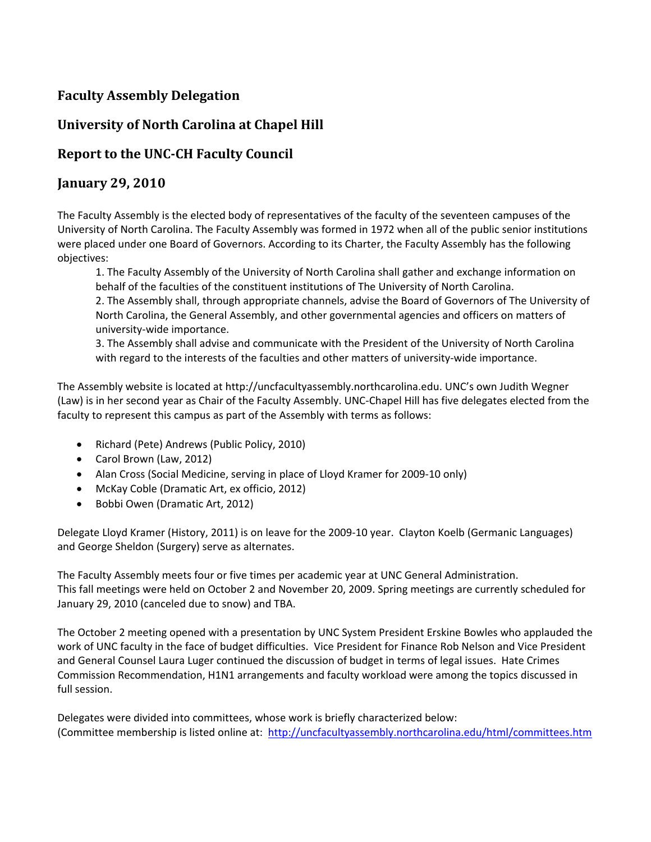## **Faculty Assembly Delegation**

## **University of North Carolina at Chapel Hill**

## **Report to the UNCCH Faculty Council**

## **January 29, 2010**

The Faculty Assembly is the elected body of representatives of the faculty of the seventeen campuses of the University of North Carolina. The Faculty Assembly was formed in 1972 when all of the public senior institutions were placed under one Board of Governors. According to its Charter, the Faculty Assembly has the following objectives:

1. The Faculty Assembly of the University of North Carolina shall gather and exchange information on behalf of the faculties of the constituent institutions of The University of North Carolina.

2. The Assembly shall, through appropriate channels, advise the Board of Governors of The University of North Carolina, the General Assembly, and other governmental agencies and officers on matters of university‐wide importance.

3. The Assembly shall advise and communicate with the President of the University of North Carolina with regard to the interests of the faculties and other matters of university-wide importance.

The Assembly website is located at http://uncfacultyassembly.northcarolina.edu. UNC's own Judith Wegner (Law) is in her second year as Chair of the Faculty Assembly. UNC‐Chapel Hill has five delegates elected from the faculty to represent this campus as part of the Assembly with terms as follows:

- Richard (Pete) Andrews (Public Policy, 2010)
- Carol Brown (Law, 2012)
- Alan Cross (Social Medicine, serving in place of Lloyd Kramer for 2009-10 only)
- McKay Coble (Dramatic Art, ex officio, 2012)
- Bobbi Owen (Dramatic Art, 2012)

Delegate Lloyd Kramer (History, 2011) is on leave for the 2009-10 year. Clayton Koelb (Germanic Languages) and George Sheldon (Surgery) serve as alternates.

The Faculty Assembly meets four or five times per academic year at UNC General Administration. This fall meetings were held on October 2 and November 20, 2009. Spring meetings are currently scheduled for January 29, 2010 (canceled due to snow) and TBA.

The October 2 meeting opened with a presentation by UNC System President Erskine Bowles who applauded the work of UNC faculty in the face of budget difficulties. Vice President for Finance Rob Nelson and Vice President and General Counsel Laura Luger continued the discussion of budget in terms of legal issues. Hate Crimes Commission Recommendation, H1N1 arrangements and faculty workload were among the topics discussed in full session.

Delegates were divided into committees, whose work is briefly characterized below: (Committee membership is listed online at: http://uncfacultyassembly.northcarolina.edu/html/committees.htm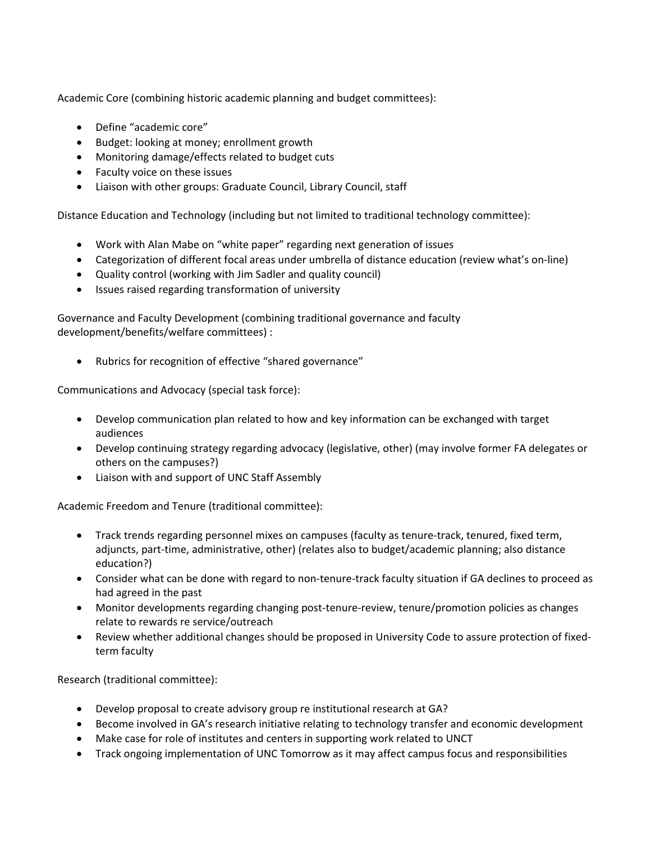Academic Core (combining historic academic planning and budget committees):

- Define "academic core"
- Budget: looking at money; enrollment growth
- Monitoring damage/effects related to budget cuts
- Faculty voice on these issues
- Liaison with other groups: Graduate Council, Library Council, staff

Distance Education and Technology (including but not limited to traditional technology committee):

- Work with Alan Mabe on "white paper" regarding next generation of issues
- Categorization of different focal areas under umbrella of distance education (review what's on‐line)
- Quality control (working with Jim Sadler and quality council)
- Issues raised regarding transformation of university

Governance and Faculty Development (combining traditional governance and faculty development/benefits/welfare committees) :

• Rubrics for recognition of effective "shared governance"

Communications and Advocacy (special task force):

- Develop communication plan related to how and key information can be exchanged with target audiences
- Develop continuing strategy regarding advocacy (legislative, other) (may involve former FA delegates or others on the campuses?)
- Liaison with and support of UNC Staff Assembly

Academic Freedom and Tenure (traditional committee):

- Track trends regarding personnel mixes on campuses (faculty as tenure-track, tenured, fixed term, adjuncts, part-time, administrative, other) (relates also to budget/academic planning; also distance education?)
- Consider what can be done with regard to non-tenure-track faculty situation if GA declines to proceed as had agreed in the past
- Monitor developments regarding changing post-tenure-review, tenure/promotion policies as changes relate to rewards re service/outreach
- Review whether additional changes should be proposed in University Code to assure protection of fixed‐ term faculty

Research (traditional committee):

- Develop proposal to create advisory group re institutional research at GA?
- Become involved in GA's research initiative relating to technology transfer and economic development
- Make case for role of institutes and centers in supporting work related to UNCT
- Track ongoing implementation of UNC Tomorrow as it may affect campus focus and responsibilities